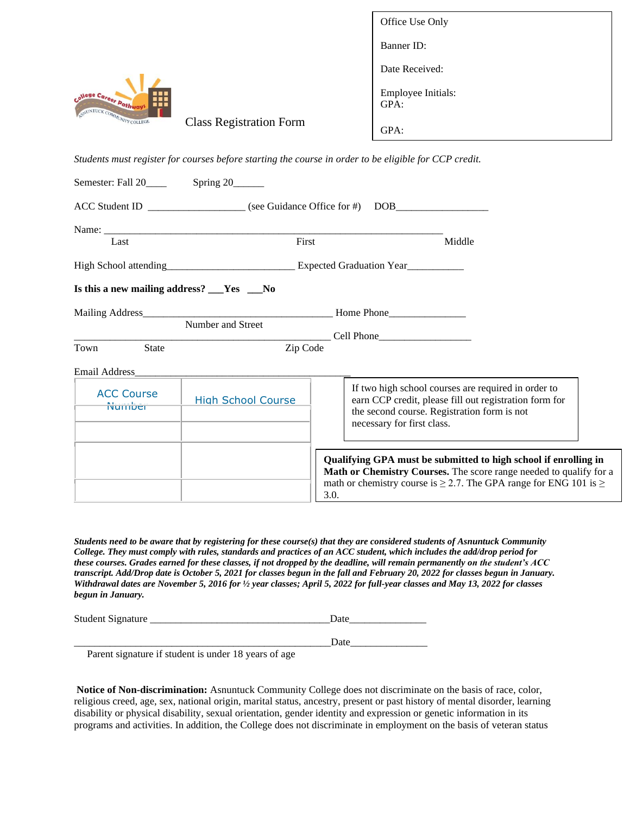|                                                                              |                                | Office Use Only                   |
|------------------------------------------------------------------------------|--------------------------------|-----------------------------------|
|                                                                              |                                | Banner ID:                        |
| .<br><b>Nege Career Pathway</b><br><b>TER</b><br>ASNUNTUCK COMMUNITY COLLEGE |                                | Date Received:                    |
|                                                                              |                                | <b>Employee Initials:</b><br>GPA: |
|                                                                              | <b>Class Registration Form</b> | GPA:                              |

*Students must register for courses before starting the course in order to be eligible for CCP credit.* 

|                                          | Name: Name and the contract of the contract of the contract of the contract of the contract of the contract of the contract of the contract of the contract of the contract of the contract of the contract of the contract of |                                                                                                                                                                                                                              |
|------------------------------------------|--------------------------------------------------------------------------------------------------------------------------------------------------------------------------------------------------------------------------------|------------------------------------------------------------------------------------------------------------------------------------------------------------------------------------------------------------------------------|
| Last                                     | First                                                                                                                                                                                                                          | Middle                                                                                                                                                                                                                       |
|                                          |                                                                                                                                                                                                                                | High School attending Expected Graduation Year                                                                                                                                                                               |
| Is this a new mailing address? $\_\_\_\$ |                                                                                                                                                                                                                                |                                                                                                                                                                                                                              |
|                                          |                                                                                                                                                                                                                                |                                                                                                                                                                                                                              |
|                                          | Number and Street                                                                                                                                                                                                              | $\begin{array}{c} \begin{array}{c} \text{Cell Phone} \end{array} \end{array}$                                                                                                                                                |
| State<br>Town                            | Zip Code                                                                                                                                                                                                                       |                                                                                                                                                                                                                              |
| Email Address                            |                                                                                                                                                                                                                                |                                                                                                                                                                                                                              |
| <b>ACC Course</b><br>Number              | <b>High School Course</b>                                                                                                                                                                                                      | If two high school courses are required in order to<br>earn CCP credit, please fill out registration form for<br>the second course. Registration form is not<br>necessary for first class.                                   |
|                                          |                                                                                                                                                                                                                                | Qualifying GPA must be submitted to high school if enrolling in<br>Math or Chemistry Courses. The score range needed to qualify for a<br>math or chemistry course is $\geq$ 2.7. The GPA range for ENG 101 is $\geq$<br>3.0. |

*Students need to be aware that by registering for these course(s) that they are considered students of Asnuntuck Community College. They must comply with rules, standards and practices of an ACC student, which includes the add/drop period for these courses. Grades earned for these classes, if not dropped by the deadline, will remain permanently on the student's ACC transcript. Add/Drop date is October 5, 2021 for classes begun in the fall and February 20, 2022 for classes begun in January. Withdrawal dates are November 5, 2016 for ½ year classes; April 5, 2022 for full-year classes and May 13, 2022 for classes begun in January.*

| <b>Student Signature</b> |  |
|--------------------------|--|
|                          |  |

\_\_\_\_\_\_\_\_\_\_\_\_\_\_\_\_\_\_\_\_\_\_\_\_\_\_\_\_\_\_\_\_\_\_\_\_\_\_\_\_\_\_\_\_\_\_\_\_\_\_Date\_\_\_\_\_\_\_\_\_\_\_\_\_\_\_

Parent signature if student is under 18 years of age

**Notice of Non-discrimination:** Asnuntuck Community College does not discriminate on the basis of race, color, religious creed, age, sex, national origin, marital status, ancestry, present or past history of mental disorder, learning disability or physical disability, sexual orientation, gender identity and expression or genetic information in its programs and activities. In addition, the College does not discriminate in employment on the basis of veteran status